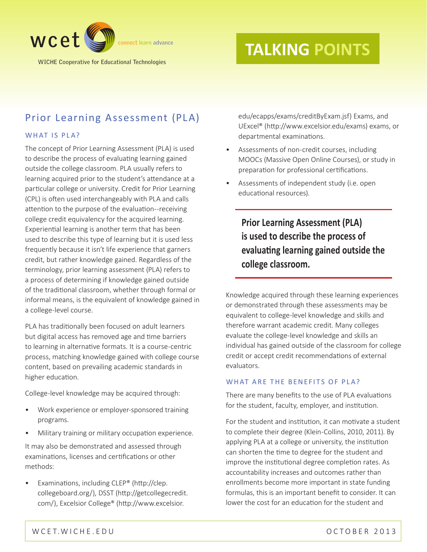

WICHE Cooperative for Educational Technologies

# **TALKING POINTS**

# Prior Learning Assessment (PLA)

### WHAT IS PLA?

The concept of Prior Learning Assessment (PLA) is used to describe the process of evaluating learning gained outside the college classroom. PLA usually refers to learning acquired prior to the student's attendance at a particular college or university. Credit for Prior Learning (CPL) is often used interchangeably with PLA and calls attention to the purpose of the evaluation--receiving college credit equivalency for the acquired learning. Experiential learning is another term that has been used to describe this type of learning but it is used less frequently because it isn't life experience that garners credit, but rather knowledge gained. Regardless of the terminology, prior learning assessment (PLA) refers to a process of determining if knowledge gained outside of the traditional classroom, whether through formal or informal means, is the equivalent of knowledge gained in a college-level course.

PLA has traditionally been focused on adult learners but digital access has removed age and time barriers to learning in alternative formats. It is a course-centric process, matching knowledge gained with college course content, based on prevailing academic standards in higher education.

College-level knowledge may be acquired through:

- Work experience or employer-sponsored training programs.
- Military training or military occupation experience.

It may also be demonstrated and assessed through examinations, licenses and certifications or other methods:

• Examinations, including CLEP® (http://clep. collegeboard.org/), DSST (http://getcollegecredit. com/), [Excelsior College](http://www.excelsior.edu/ecapps/exams/creditByExam.jsf?gw=1)® (http://www.excelsior.

edu/ecapps/exams/creditByExam.jsf) Exams, and UExcel® (http://www.excelsior.edu/exams) exams, or departmental examinations.

- Assessments of non-credit courses, including MOOCs (Massive Open Online Courses), or study in preparation for professional certifications.
- Assessments of independent study (i.e. open educational resources).

**Prior Learning Assessment (PLA) is used to describe the process of evaluating learning gained outside the college classroom.**

Knowledge acquired through these learning experiences or demonstrated through these assessments may be equivalent to college-level knowledge and skills and therefore warrant academic credit. Many colleges evaluate the college-level knowledge and skills an individual has gained outside of the classroom for college credit or accept credit recommendations of external evaluators.

### WHAT ARE THE BENEFITS OF PLA?

There are many benefits to the use of PLA evaluations for the student, faculty, employer, and institution.

For the student and institution, it can motivate a student to complete their degree (Klein-Collins, 2010, 2011). By applying PLA at a college or university, the institution can shorten the time to degree for the student and improve the institutional degree completion rates. As accountability increases and outcomes rather than enrollments become more important in state funding formulas, this is an important benefit to consider. It can lower the cost for an education for the student and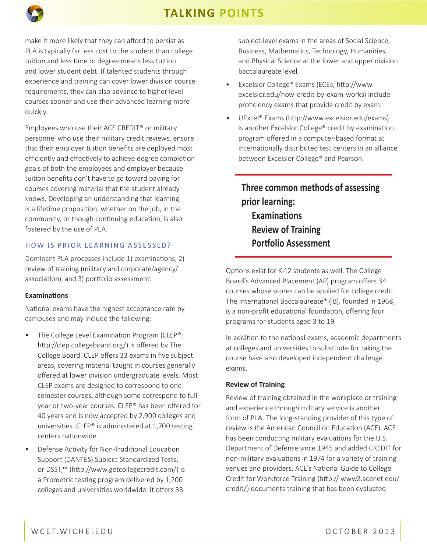# **TALKING POINTS**

make it more likely that they can afford to persist as PLA is typically far less cost to the student than college tuition and less time to degree means less tuition and lower student debt. If talented students through experience and training can cover lower division course requirements, they can also advance to higher level courses sooner and use their advanced learning more quickly.

Employees who use their ACE CREDIT® or military personnel who use their military credit reviews, ensure that their employer tuition benefits are deployed most efficiently and effectively to achieve degree completion goals of both the employees and employer because tuition benefits don't have to go toward paying for courses covering material that the student already knows. Developing an understanding that learning is a lifetime proposition, whether on the job, in the community, or though continuing education, is also fostered by the use of PLA.

### HOW IS PRIOR LEARNING ASSESSED?

Dominant PLA processes include 1) examinations, 2) review of training (military and corporate/agency/ association), and 3) portfolio assessment.

### **Examinations**

**w** connect learn and connect learn and connect learn and connect learn and connect learn and connect learn and connect learn and connect learn and connect learn and connect learn and connect learn and connect learn and co

National exams have the highest acceptance rate by campuses and may include the following:

- The College Level Examination Program (CLEP<sup>®</sup>; http://clep.collegeboard.org/) is offered by The College Board. CLEP offers 33 exams in five subject areas, covering material taught in courses generally offered at lower division undergraduate levels. Most CLEP exams are designed to correspond to onesemester courses, although some correspond to fullyear or two-year courses. CLEP® has been offered for 40 years and is now accepted by 2,900 colleges and universities. CLEP® is administered at 1,700 testing centers nationwide.
- Defense Activity for Non-Traditional Education Support (DANTES) Subject Standardized Tests, or DSST,™ (http://www.getcollegecredit.com/) is a Prometric testing program delivered by 1,200 colleges and universities worldwide. It offers 38

subject-level exams in the areas of Social Science, Business, Mathematics, Technology, Humanities, and Physical Science at the lower and upper division baccalaureate level.

- Excelsior College® Exams (ECEs; http://www. excelsior.edu/how-credit-by-exam-works) include proficiency exams that provide credit by exam.
- UExcel® [Exams](http://www.uexceltest.com/exams-and-preparation/exams/) (http://www.excelsior.edu/exams) is another Excelsior College® credit by examination program offered in a computer-based format at internationally distributed test centers in an alliance between Excelsior College® and Pearson.

**Three common methods of assessing prior learning: Examinations Review of Training Portfolio Assessment**

Options exist for K-12 students as well. The College Board's Advanced Placement [\(AP](http://www.collegeboard.com/student/testing/ap/about.html)) program offers 34 courses whose scores can be applied for college credit. The International Baccalaureate® ([IB](http://www.ibo.org/)), founded in 1968, is a non-profit educational foundation, offering four programs for students aged 3 to 19.

In addition to the national exams, academic departments at colleges and universities to substitute for taking the course have also developed independent challenge exams.

### **Review of Training**

Review of training obtained in the workplace or training and experience through military service is another form of PLA. The long-standing provider of this type of review is the American Council on Education (ACE). ACE has been conducting military evaluations for the U.S. Department of Defense since 1945 and added CREDIT for non-military evaluations in 1974 for a variety of training venues and providers. ACE's National Guide to College Credit for Workforce Training (http:// www2.acenet.edu/ credit/) documents training that has been evaluated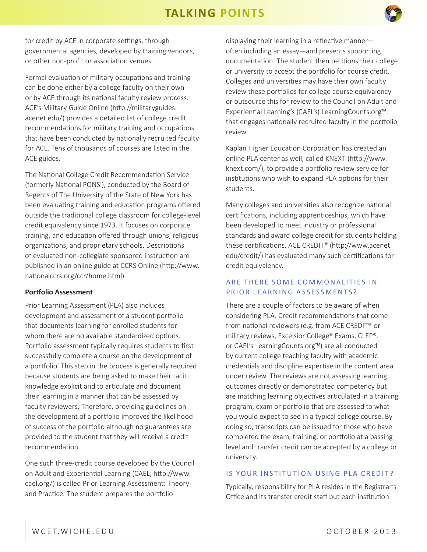# **TALKING POINTS**



Formal evaluation of military occupations and training can be done either by a college faculty on their own or by ACE through its national faculty review process. ACE's Military Guide Online (http://militaryguides. acenet.edu/) provides a detailed list of college credit recommendations for military training and occupations that have been conducted by nationally recruited faculty for ACE. Tens of thousands of courses are listed in the ACE guides.

The National College Credit Recommendation Service (formerly National PONSI), conducted by the Board of Regents of The University of the State of New York has been evaluating training and education programs offered outside the traditional college classroom for college-level credit equivalency since 1973. It focuses on corporate training, and education offered through unions, religious organizations, and proprietary schools. Descriptions of evaluated non-collegiate sponsored instruction are published in an online guide at CCRS Online (http://www. nationalccrs.org/ccr/home.html).

#### **Portfolio Assessment**

Prior Learning Assessment (PLA) also includes development and assessment of a student portfolio that documents learning for enrolled students for whom there are no available standardized options. Portfolio assessment typically requires students to first successfully complete a course on the development of a portfolio. This step in the process is generally required because students are being asked to make their tacit knowledge explicit and to articulate and document their learning in a manner that can be assessed by faculty reviewers. Therefore, providing guidelines on the development of a portfolio improves the likelihood of success of the portfolio although no guarantees are provided to the student that they will receive a credit recommendation.

One such three-credit course developed by the Council on Adult and Experiential Learning (CAEL; http://www. cael.org/) is called Prior Learning Assessment: Theory and Practice. The student prepares the portfolio

displaying their learning in a reflective manner often including an essay—and presents supporting documentation. The student then petitions their college or university to accept the portfolio for course credit. Colleges and universities may have their own faculty review these portfolios for college course equivalency or outsource this for review to the Council on Adult and Experiential Learning's (CAEL's) LearningCounts.org™. that engages nationally recruited faculty in the portfolio review.

**working** 

Kaplan Higher Education Corporation has created an online PLA center as well, called KNEXT (http://www. knext.com/), to provide a portfolio review service for institutions who wish to expand PLA options for their students.

Many colleges and universities also recognize national certifications, including apprenticeships, which have been developed to meet industry or professional standards and award college credit for students holding these certifications. ACE CREDIT® (http://www.acenet. edu/credit/) has evaluated many such certifications for credit equivalency.

### ARE THERE SOME COMMONALITIES IN PRIOR LEARNING ASSESSMENTS?

There are a couple of factors to be aware of when considering PLA. Credit recommendations that come from national reviewers (e.g. from ACE CREDIT® or military reviews, Excelsior College® Exams, CLEP®, or CAEL's LearningCounts.org™) are all conducted by current college teaching faculty with academic credentials and discipline expertise in the content area under review. The reviews are not assessing learning outcomes directly or demonstrated competency but are matching learning objectives articulated in a training program, exam or portfolio that are assessed to what you would expect to see in a typical college course. By doing so, transcripts can be issued for those who have completed the exam, training, or portfolio at a passing level and transfer credit can be accepted by a college or university.

#### IS YOUR INSTITUTION USING PLA CREDIT?

Typically, responsibility for PLA resides in the Registrar's Office and its transfer credit staff but each institution